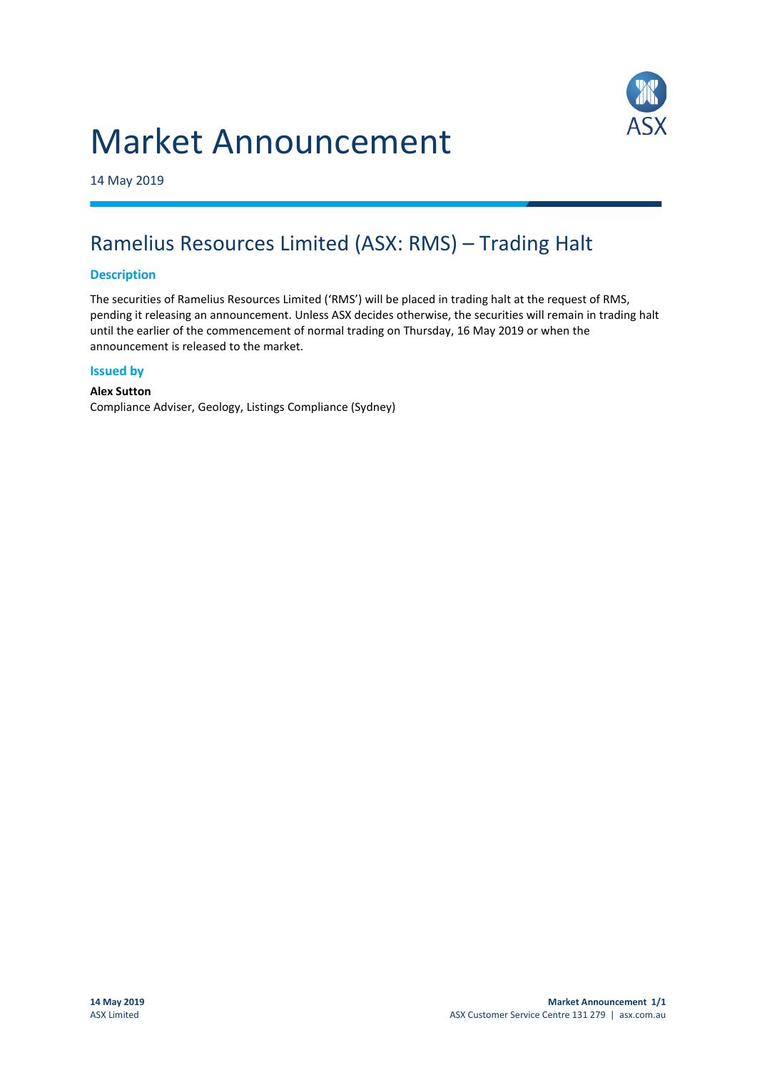# Market Announcement



14 May 2019

### Ramelius Resources Limited (ASX: RMS) – Trading Halt

#### **Description**

The securities of Ramelius Resources Limited ('RMS') will be placed in trading halt at the request of RMS, pending it releasing an announcement. Unless ASX decides otherwise, the securities will remain in trading halt until the earlier of the commencement of normal trading on Thursday, 16 May 2019 or when the announcement is released to the market.

#### **Issued by**

**Alex Sutton** Compliance Adviser, Geology, Listings Compliance (Sydney)